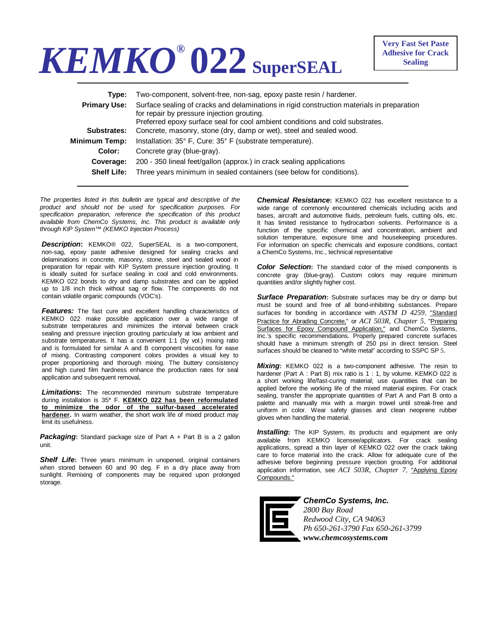## *KEMKO®* **022 SuperSEAL**

| Tvpe:               | Two-component, solvent-free, non-sag, epoxy paste resin / hardener.                                                                                                                                                       |
|---------------------|---------------------------------------------------------------------------------------------------------------------------------------------------------------------------------------------------------------------------|
| <b>Primary Use:</b> | Surface sealing of cracks and delaminations in rigid construction materials in preparation<br>for repair by pressure injection grouting.<br>Preferred epoxy surface seal for cool ambient conditions and cold substrates. |
| Substrates:         | Concrete, masonry, stone (dry, damp or wet), steel and sealed wood.                                                                                                                                                       |
| Minimum Temp:       | Installation: 35° F, Cure: 35° F (substrate temperature).                                                                                                                                                                 |
| Color:              | Concrete gray (blue-gray).                                                                                                                                                                                                |
| Coverage:           | 200 - 350 lineal feet/gallon (approx.) in crack sealing applications                                                                                                                                                      |
| <b>Shelf Life:</b>  | Three years minimum in sealed containers (see below for conditions).                                                                                                                                                      |
|                     |                                                                                                                                                                                                                           |

*The properties listed in this bulletin are typical and descriptive of the product and should not be used for specification purposes. For specification preparation, reference the specification of this product available from ChemCo Systems, Inc. This product is available only through KIP System™ (KEMKO Injection Process)* 

*Description***:** KEMKO® 022, SuperSEAL is a two-component, non-sag, epoxy paste adhesive designed for sealing cracks and delaminations in concrete, masonry, stone, steel and sealed wood in preparation for repair with KIP System pressure injection grouting. It is ideally suited for surface sealing in cool and cold environments. KEMKO 022 bonds to dry and damp substrates and can be applied up to 1/8 inch thick without sag or flow. The components do not contain volatile organic compounds (VOC's).

*Features:* The fast cure and excellent handling characteristics of KEMKO 022 make possible application over a wide range of substrate temperatures and minimizes the interval between crack sealing and pressure injection grouting particularly at low ambient and substrate temperatures. It has a convenient 1:1 (by vol.) mixing ratio and is formulated for similar A and B component viscosities for ease of mixing. Contrasting component colors provides a visual key to proper proportioning and thorough mixing. The buttery consistency and high cured film hardness enhance the production rates for seal application and subsequent removal**.** 

*Limitations***:** The recommended minimum substrate temperature during installation is 35**°** F. **KEMKO 022 has been reformulated to minimize the odor of the sulfur-based accelerated hardener.** In warm weather, the short work life of mixed product may limit its usefulness.

**Packaging:** Standard package size of Part A + Part B is a 2 gallon unit.

**Shelf Life:** Three years minimum in unopened, original containers when stored between 60 and 90 deg. F in a dry place away from sunlight. Remixing of components may be required upon prolonged storage.

*Chemical Resistance***:** KEMKO 022 has excellent resistance to a wide range of commonly encountered chemicals including acids and bases, aircraft and automotive fluids, petroleum fuels, cutting oils, etc. It has limited resistance to hydrocarbon solvents. Performance is a function of the specific chemical and concentration, ambient and solution temperature, exposure time and housekeeping procedures. For information on specific chemicals and exposure conditions, contact a ChemCo Systems, Inc., technical representative

**Color Selection:** The standard color of the mixed components is concrete gray (blue-gray). Custom colors may require minimum quantities and/or slightly higher cost.

*Surface Preparation***:** Substrate surfaces may be dry or damp but must be sound and free of all bond-inhibiting substances. Prepare surfaces for bonding in accordance with *ASTM D 4259*, "Standard Practice for Abrading Concrete," or *ACI 503R, Chapter 5*, "Preparing Surfaces for Epoxy Compound Application," and ChemCo Systems, Inc.'s specific recommendations. Properly prepared concrete surfaces should have a minimum strength of 250 psi in direct tension. Steel surfaces should be cleaned to "white metal" according to SSPC SP 5.

*Mixing***:** KEMKO 022 is a two-component adhesive. The resin to hardener (Part A : Part B) mix ratio is 1 : 1, by volume. KEMKO 022 is a short working life/fast-curing material; use quantities that can be applied before the working life of the mixed material expires. For crack sealing, transfer the appropriate quantities of Part A and Part B onto a palette and manually mix with a margin trowel until streak-free and uniform in color. Wear safety glasses and clean neoprene rubber gloves when handling the material.

*Installing***:** The KIP System, its products and equipment are only available from KEMKO licensee/applicators. For crack sealing applications, spread a thin layer of KEMKO 022 over the crack taking care to force material into the crack. Allow for adequate cure of the adhesive before beginning pressure injection grouting. For additional application information, see *ACI 503R, Chapter 7*, "Applying Epoxy Compounds."



*ChemCo Systems, Inc. 2800 Bay Road Redwood City, CA 94063 Ph 650-261-3790 Fax 650-261-3799 www.chemcosystems.com*